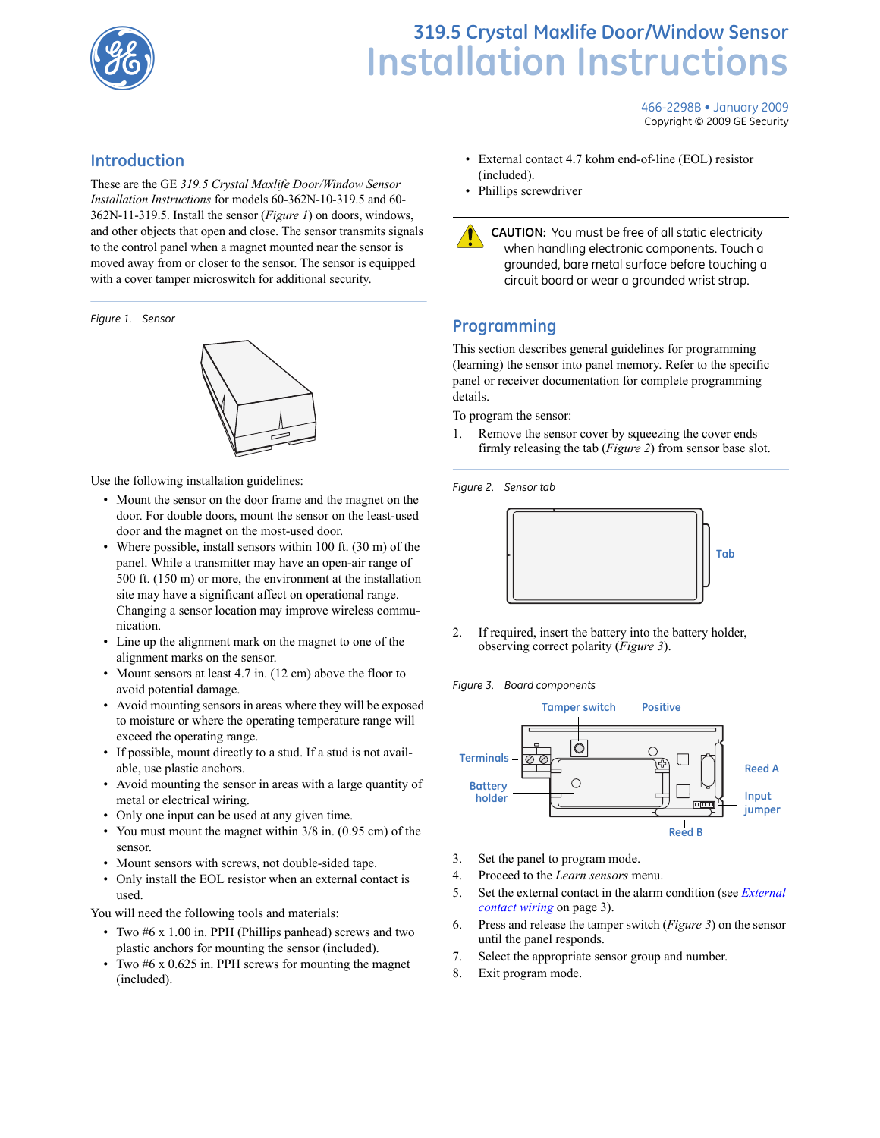

# **98** Installation Instructions

466-2298B • January 2009 Copyright © 2009 GE Security

### **Introduction**

These are the GE *319.5 Crystal Maxlife Door/Window Sensor Installation Instructions* for models 60-362N-10-319.5 and 60- 362N-11-319.5. Install the sensor (*[Figure 1](#page-0-1)*) on doors, windows, and other objects that open and close. The sensor transmits signals to the control panel when a magnet mounted near the sensor is moved away from or closer to the sensor. The sensor is equipped with a cover tamper microswitch for additional security.

<span id="page-0-1"></span>*Figure 1. Sensor*



Use the following installation guidelines:

- Mount the sensor on the door frame and the magnet on the door. For double doors, mount the sensor on the least-used door and the magnet on the most-used door.
- Where possible, install sensors within 100 ft. (30 m) of the panel. While a transmitter may have an open-air range of 500 ft. (150 m) or more, the environment at the installation site may have a significant affect on operational range. Changing a sensor location may improve wireless communication.
- Line up the alignment mark on the magnet to one of the alignment marks on the sensor.
- Mount sensors at least 4.7 in. (12 cm) above the floor to avoid potential damage.
- Avoid mounting sensors in areas where they will be exposed to moisture or where the operating temperature range will exceed the operating range.
- If possible, mount directly to a stud. If a stud is not available, use plastic anchors.
- Avoid mounting the sensor in areas with a large quantity of metal or electrical wiring.
- Only one input can be used at any given time.
- You must mount the magnet within 3/8 in. (0.95 cm) of the sensor.
- Mount sensors with screws, not double-sided tape.
- Only install the EOL resistor when an external contact is used.

You will need the following tools and materials:

- Two #6 x 1.00 in. PPH (Phillips panhead) screws and two plastic anchors for mounting the sensor (included).
- Two #6 x 0.625 in. PPH screws for mounting the magnet (included).
- External contact 4.7 kohm end-of-line (EOL) resistor (included).
- Phillips screwdriver

**CAUTION:** You must be free of all static electricity when handling electronic components. Touch a grounded, bare metal surface before touching a circuit board or wear a grounded wrist strap.

## **Programming**

This section describes general guidelines for programming (learning) the sensor into panel memory. Refer to the specific panel or receiver documentation for complete programming details.

To program the sensor:

1. Remove the sensor cover by squeezing the cover ends firmly releasing the tab (*[Figure 2](#page-0-2)*) from sensor base slot.

<span id="page-0-2"></span>*Figure 2. Sensor tab*



2. If required, insert the battery into the battery holder, observing correct polarity (*[Figure 3](#page-0-0)*).

<span id="page-0-0"></span>*Figure 3. Board components*



- 3. Set the panel to program mode.
- 4. Proceed to the *Learn sensors* menu.
- 5. Set the external contact in the alarm condition (see *[External](#page-2-0)  [contact wiring](#page-2-0)* on page 3).
- 6. Press and release the tamper switch (*[Figure 3](#page-0-0)*) on the sensor until the panel responds.
- 7. Select the appropriate sensor group and number.
- 8. Exit program mode.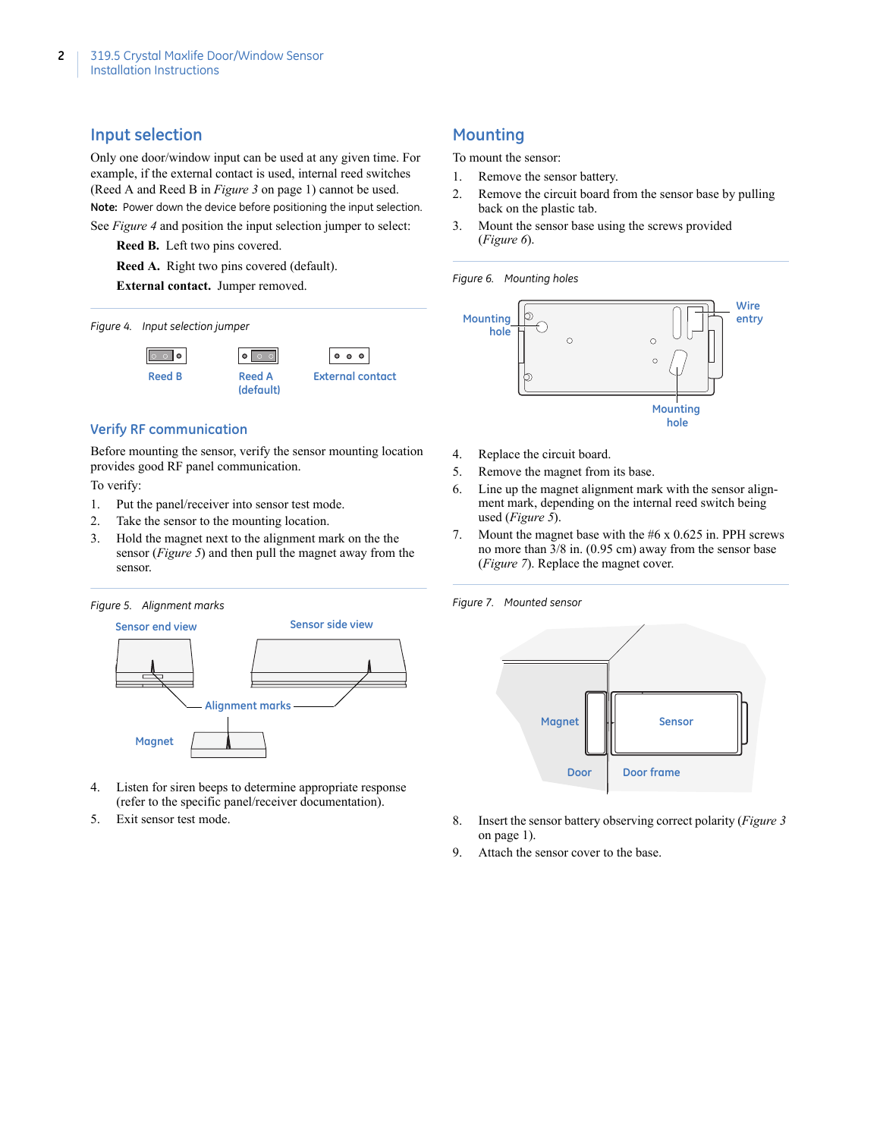#### **Input selection**

Only one door/window input can be used at any given time. For example, if the external contact is used, internal reed switches (Reed A and Reed B in *Figure 3* [on page 1\)](#page-0-0) cannot be used. **Note:** Power down the device before positioning the input selection. See *[Figure 4](#page-1-3)* and position the input selection jumper to select:

**Reed B.** Left two pins covered.

**Reed A.** Right two pins covered (default).

**External contact.** Jumper removed.

#### <span id="page-1-3"></span>*Figure 4. Input selection jumper*



#### **Verify RF communication**

Before mounting the sensor, verify the sensor mounting location provides good RF panel communication.

To verify:

- 1. Put the panel/receiver into sensor test mode.
- 2. Take the sensor to the mounting location.
- 3. Hold the magnet next to the alignment mark on the the sensor (*[Figure 5](#page-1-2)*) and then pull the magnet away from the sensor.

#### <span id="page-1-2"></span>*Figure 5. Alignment marks*



- 4. Listen for siren beeps to determine appropriate response (refer to the specific panel/receiver documentation).
- 5. Exit sensor test mode.

# **Mounting**

To mount the sensor:

- 1. Remove the sensor battery.
- 2. Remove the circuit board from the sensor base by pulling back on the plastic tab.
- 3. Mount the sensor base using the screws provided (*[Figure 6](#page-1-1)*).

#### <span id="page-1-1"></span>*Figure 6. Mounting holes*



- 4. Replace the circuit board.
- 5. Remove the magnet from its base.
- 6. Line up the magnet alignment mark with the sensor alignment mark, depending on the internal reed switch being used (*[Figure 5](#page-1-2)*).
- 7. Mount the magnet base with the #6 x 0.625 in. PPH screws no more than 3/8 in. (0.95 cm) away from the sensor base (*[Figure 7](#page-1-0)*). Replace the magnet cover.

<span id="page-1-0"></span>*Figure 7. Mounted sensor*



- 8. Insert the sensor battery observing correct polarity (*[Figure 3](#page-0-0)* [on page 1\)](#page-0-0).
- 9. Attach the sensor cover to the base.